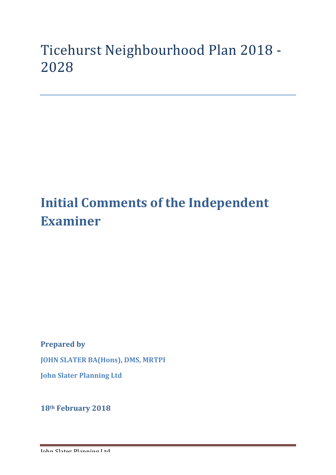## Ticehurst Neighbourhood Plan 2018 -2028

# **Initial Comments of the Independent Examiner**

**Prepared by** 

**JOHN SLATER BA(Hons), DMS, MRTPI** 

**John Slater Planning Ltd**

**18th February 2018**

John Slater Planning Ltd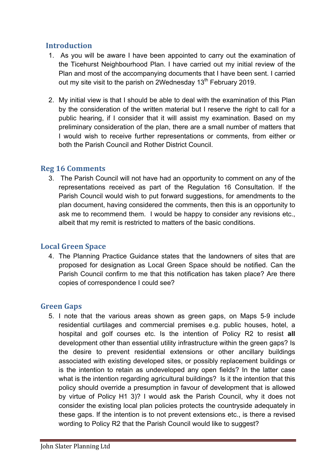## **Introduction**

- 1. As you will be aware I have been appointed to carry out the examination of the Ticehurst Neighbourhood Plan. I have carried out my initial review of the Plan and most of the accompanying documents that I have been sent. I carried out my site visit to the parish on 2Wednesday 13<sup>th</sup> February 2019.
- 2. My initial view is that I should be able to deal with the examination of this Plan by the consideration of the written material but I reserve the right to call for a public hearing, if I consider that it will assist my examination. Based on my preliminary consideration of the plan, there are a small number of matters that I would wish to receive further representations or comments, from either or both the Parish Council and Rother District Council.

#### **Reg 16 Comments**

3. The Parish Council will not have had an opportunity to comment on any of the representations received as part of the Regulation 16 Consultation. If the Parish Council would wish to put forward suggestions, for amendments to the plan document, having considered the comments, then this is an opportunity to ask me to recommend them. I would be happy to consider any revisions etc., albeit that my remit is restricted to matters of the basic conditions.

#### **Local Green Space**

4. The Planning Practice Guidance states that the landowners of sites that are proposed for designation as Local Green Space should be notified. Can the Parish Council confirm to me that this notification has taken place? Are there copies of correspondence I could see?

### **Green Gaps**

5. I note that the various areas shown as green gaps, on Maps 5-9 include residential curtilages and commercial premises e.g. public houses, hotel, a hospital and golf courses etc. Is the intention of Policy R2 to resist **all** development other than essential utility infrastructure within the green gaps? Is the desire to prevent residential extensions or other ancillary buildings associated with existing developed sites, or possibly replacement buildings or is the intention to retain as undeveloped any open fields? In the latter case what is the intention regarding agricultural buildings? Is it the intention that this policy should override a presumption in favour of development that is allowed by virtue of Policy H1 3)? I would ask the Parish Council, why it does not consider the existing local plan policies protects the countryside adequately in these gaps. If the intention is to not prevent extensions etc., is there a revised wording to Policy R2 that the Parish Council would like to suggest?